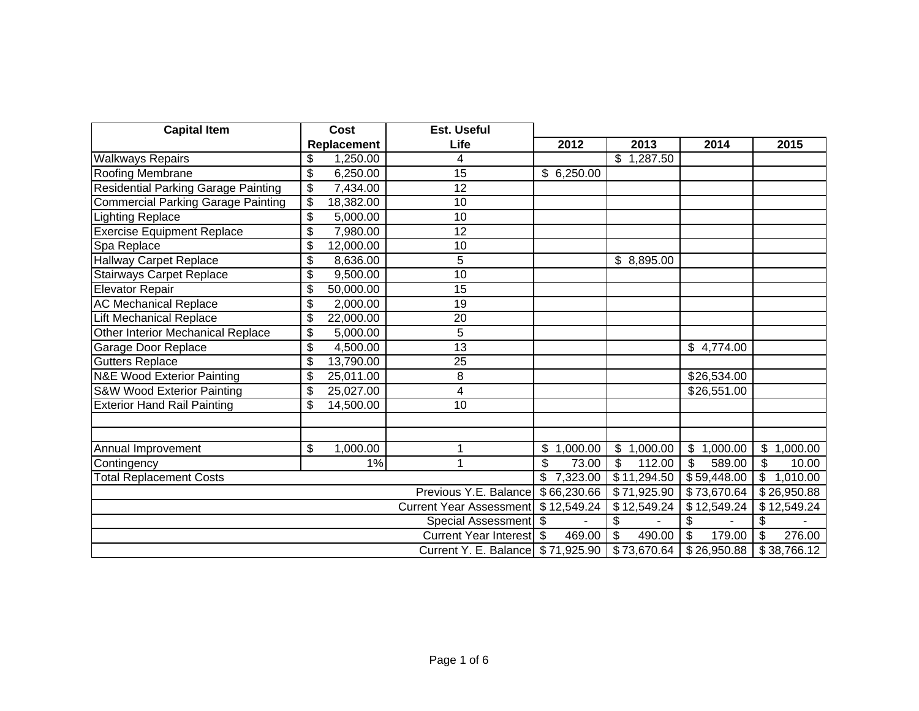| <b>Capital Item</b>                       | Cost                    |           | Est. Useful                  |              |                           |             |                         |               |             |
|-------------------------------------------|-------------------------|-----------|------------------------------|--------------|---------------------------|-------------|-------------------------|---------------|-------------|
|                                           | Replacement             |           | Life                         | 2012         |                           | 2013        | 2014                    |               | 2015        |
| <b>Walkways Repairs</b>                   | \$                      | 1,250.00  | 4                            |              | \$                        | 1,287.50    |                         |               |             |
| Roofing Membrane                          | \$                      | 6,250.00  | $\overline{15}$              | \$6,250.00   |                           |             |                         |               |             |
| Residential Parking Garage Painting       | \$                      | 7,434.00  | 12                           |              |                           |             |                         |               |             |
| <b>Commercial Parking Garage Painting</b> | $\overline{\mathbf{e}}$ | 18,382.00 | 10                           |              |                           |             |                         |               |             |
| ighting Replace                           | \$                      | 5,000.00  | 10                           |              |                           |             |                         |               |             |
| <b>Exercise Equipment Replace</b>         | \$                      | 7,980.00  | 12                           |              |                           |             |                         |               |             |
| Spa Replace                               | \$                      | 12,000.00 | $\overline{10}$              |              |                           |             |                         |               |             |
| <b>Hallway Carpet Replace</b>             | \$                      | 8,636.00  | 5                            |              |                           | \$8,895.00  |                         |               |             |
| <b>Stairways Carpet Replace</b>           | \$                      | 9,500.00  | 10                           |              |                           |             |                         |               |             |
| <b>Elevator Repair</b>                    | \$                      | 50,000.00 | 15                           |              |                           |             |                         |               |             |
| <b>AC Mechanical Replace</b>              | \$                      | 2,000.00  | 19                           |              |                           |             |                         |               |             |
| Lift Mechanical Replace                   | \$                      | 22,000.00 | 20                           |              |                           |             |                         |               |             |
| <b>Other Interior Mechanical Replace</b>  | \$                      | 5,000.00  | 5                            |              |                           |             |                         |               |             |
| Garage Door Replace                       | \$                      | 4,500.00  | 13                           |              |                           |             | \$4,774.00              |               |             |
| <b>Gutters Replace</b>                    | \$                      | 13,790.00 | 25                           |              |                           |             |                         |               |             |
| <b>N&amp;E Wood Exterior Painting</b>     | \$                      | 25,011.00 | 8                            |              |                           |             | \$26,534.00             |               |             |
| <b>S&amp;W Wood Exterior Painting</b>     | \$                      | 25,027.00 | 4                            |              |                           |             | $\overline{$}26,551.00$ |               |             |
| <b>Exterior Hand Rail Painting</b>        | \$                      | 14,500.00 | 10                           |              |                           |             |                         |               |             |
|                                           |                         |           |                              |              |                           |             |                         |               |             |
| Annual Improvement                        | \$                      | 1,000.00  | 1                            | \$1,000.00   | $\boldsymbol{\mathsf{S}}$ | 1,000.00    | \$1,000.00              |               | \$1,000.00  |
| Contingency                               |                         | 1%        | 1                            | \$<br>73.00  | \$                        | 112.00      | \$<br>589.00            | \$            | 10.00       |
| <b>Total Replacement Costs</b>            |                         |           |                              |              |                           | \$11,294.50 | \$59,448.00             | $\frac{1}{2}$ | 1,010.00    |
| Previous Y.E. Balance                     |                         |           |                              |              |                           | \$71,925.90 | \$73,670.64             |               | \$26,950.88 |
| <b>Current Year Assessment</b>            |                         |           |                              |              |                           | \$12,549.24 | \$12,549.24             |               | \$12,549.24 |
| Special Assessment \$                     |                         |           |                              |              | \$                        |             | \$                      | \$            |             |
|                                           |                         |           | <b>Current Year Interest</b> | \$<br>469.00 | \$                        | 490.00      | \$<br>179.00            | \$            | 276.00      |
| Current Y. E. Balance                     |                         |           |                              |              |                           | \$73,670.64 | \$26,950.88             |               | \$38,766.12 |